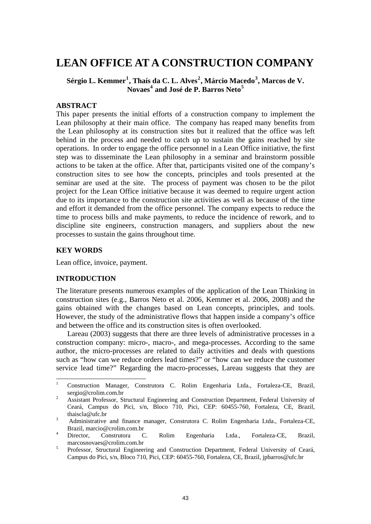# **LEAN OFFICE AT A CONSTRUCTION COMPANY**

# **Sérgio L. Kemmer[1](#page-0-0) , Thaís da C. L. Alves[2](#page-0-1) , Márcio Macedo[3](#page-0-2) , Marcos de V. Novaes[4](#page-0-3) and José de P. Barros Neto[5](#page-0-4)**

# **ABSTRACT**

This paper presents the initial efforts of a construction company to implement the Lean philosophy at their main office. The company has reaped many benefits from the Lean philosophy at its construction sites but it realized that the office was left behind in the process and needed to catch up to sustain the gains reached by site operations. In order to engage the office personnel in a Lean Office initiative, the first step was to disseminate the Lean philosophy in a seminar and brainstorm possible actions to be taken at the office. After that, participants visited one of the company's construction sites to see how the concepts, principles and tools presented at the seminar are used at the site. The process of payment was chosen to be the pilot project for the Lean Office initiative because it was deemed to require urgent action due to its importance to the construction site activities as well as because of the time and effort it demanded from the office personnel. The company expects to reduce the time to process bills and make payments, to reduce the incidence of rework, and to discipline site engineers, construction managers, and suppliers about the new processes to sustain the gains throughout time.

## **KEY WORDS**

Lean office, invoice, payment.

# **INTRODUCTION**

The literature presents numerous examples of the application of the Lean Thinking in construction sites (e.g., Barros Neto et al. 2006, Kemmer et al. 2006, 2008) and the gains obtained with the changes based on Lean concepts, principles, and tools. However, the study of the administrative flows that happen inside a company's office and between the office and its construction sites is often overlooked.

Lareau (2003) suggests that there are three levels of administrative processes in a construction company: micro-, macro-, and mega-processes. According to the same author, the micro-processes are related to daily activities and deals with questions such as "how can we reduce orders lead times?" or "how can we reduce the customer service lead time?" Regarding the macro-processes, Lareau suggests that they are

<span id="page-0-0"></span> 1 Construction Manager, Construtora C. Rolim Engenharia Ltda., Fortaleza-CE, Brazil, sergio@crolim.com.br

<span id="page-0-1"></span>Assistant Professor, Structural Engineering and Construction Department, Federal University of Ceará, Campus do Pici, s/n, Bloco 710, Pici, CEP: 60455-760, Fortaleza, CE, Brazil, thaiscla@ufc.br

<span id="page-0-2"></span>Administrative and finance manager, Construtora C. Rolim Engenharia Ltda., Fortaleza-CE, Brazil, marcio@crolim.com.br<br>4 Director. Construtora C.

<span id="page-0-3"></span>Rolim Engenharia Ltda., Fortaleza-CE, Brazil, marcosnovaes@crolim.com.br

<span id="page-0-4"></span>Professor, Structural Engineering and Construction Department, Federal University of Ceará, Campus do Pici, s/n, Bloco 710, Pici, CEP: 60455-760, Fortaleza, CE, Brazil, jpbarros@ufc.br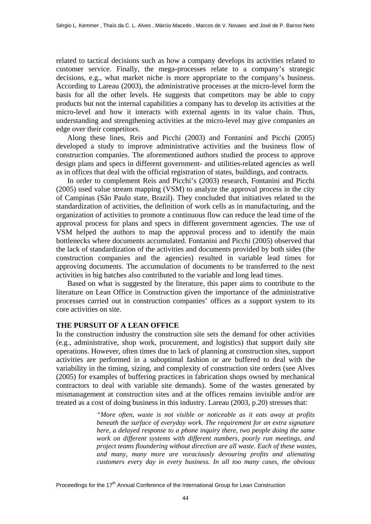related to tactical decisions such as how a company develops its activities related to customer service. Finally, the mega-processes relate to a company's strategic decisions, e.g., what market niche is more appropriate to the company's business. According to Lareau (2003), the administrative processes at the micro-level form the basis for all the other levels. He suggests that competitors may be able to copy products but not the internal capabilities a company has to develop its activities at the micro-level and how it interacts with external agents in its value chain. Thus, understanding and strengthening activities at the micro-level may give companies an edge over their competitors.

Along these lines, Reis and Picchi (2003) and Fontanini and Picchi (2005) developed a study to improve administrative activities and the business flow of construction companies. The aforementioned authors studied the process to approve design plans and specs in different government- and utilities-related agencies as well as in offices that deal with the official registration of states, buildings, and contracts.

In order to complement Reis and Picchi's (2003) research, Fontanini and Picchi (2005) used value stream mapping (VSM) to analyze the approval process in the city of Campinas (São Paulo state, Brazil). They concluded that initiatives related to the standardization of activities, the definition of work cells as in manufacturing, and the organization of activities to promote a continuous flow can reduce the lead time of the approval process for plans and specs in different government agencies. The use of VSM helped the authors to map the approval process and to identify the main bottlenecks where documents accumulated. Fontanini and Picchi (2005) observed that the lack of standardization of the activities and documents provided by both sides (the construction companies and the agencies) resulted in variable lead times for approving documents. The accumulation of documents to be transferred to the next activities in big batches also contributed to the variable and long lead times.

Based on what is suggested by the literature, this paper aims to contribute to the literature on Lean Office in Construction given the importance of the administrative processes carried out in construction companies' offices as a support system to its core activities on site.

#### **THE PURSUIT OF A LEAN OFFICE**

In the construction industry the construction site sets the demand for other activities (e.g., administrative, shop work, procurement, and logistics) that support daily site operations. However, often times due to lack of planning at construction sites, support activities are performed in a suboptimal fashion or are buffered to deal with the variability in the timing, sizing, and complexity of construction site orders (see Alves (2005) for examples of buffering practices in fabrication shops owned by mechanical contractors to deal with variable site demands). Some of the wastes generated by mismanagement at construction sites and at the offices remains invisible and/or are treated as a cost of doing business in this industry. Lareau (2003, p.20) stresses that:

> *"More often, waste is not visible or noticeable as it eats away at profits beneath the surface of everyday work. The requirement for an extra signature here, a delayed response to a phone inquiry there, two people doing the same work on different systems with different numbers, poorly run meetings, and project teams floundering without direction are all waste. Each of these wastes, and many, many more are voraciously devouring profits and alienating customers every day in every business. In all too many cases, the obvious*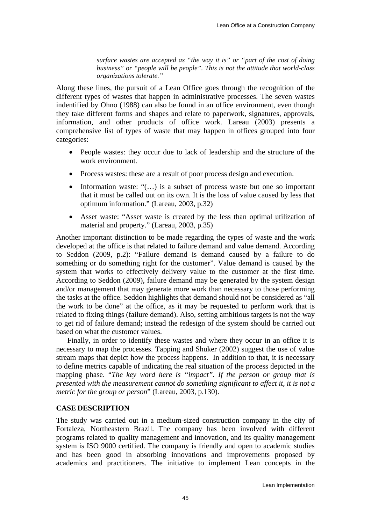*surface wastes are accepted as "the way it is" or "part of the cost of doing business" or "people will be people". This is not the attitude that world-class organizations tolerate."* 

Along these lines, the pursuit of a Lean Office goes through the recognition of the different types of wastes that happen in administrative processes. The seven wastes indentified by Ohno (1988) can also be found in an office environment, even though they take different forms and shapes and relate to paperwork, signatures, approvals, information, and other products of office work. Lareau (2003) presents a comprehensive list of types of waste that may happen in offices grouped into four categories:

- People wastes: they occur due to lack of leadership and the structure of the work environment.
- Process wastes: these are a result of poor process design and execution.
- Information waste: "(...) is a subset of process waste but one so important that it must be called out on its own. It is the loss of value caused by less that optimum information." (Lareau, 2003, p.32)
- Asset waste: "Asset waste is created by the less than optimal utilization of material and property." (Lareau, 2003, p.35)

Another important distinction to be made regarding the types of waste and the work developed at the office is that related to failure demand and value demand. According to Seddon (2009, p.2): "Failure demand is demand caused by a failure to do something or do something right for the customer". Value demand is caused by the system that works to effectively delivery value to the customer at the first time. According to Seddon (2009), failure demand may be generated by the system design and/or management that may generate more work than necessary to those performing the tasks at the office. Seddon highlights that demand should not be considered as "all the work to be done" at the office, as it may be requested to perform work that is related to fixing things (failure demand). Also, setting ambitious targets is not the way to get rid of failure demand; instead the redesign of the system should be carried out based on what the customer values.

Finally, in order to identify these wastes and where they occur in an office it is necessary to map the processes. Tapping and Shuker (2002) suggest the use of value stream maps that depict how the process happens. In addition to that, it is necessary to define metrics capable of indicating the real situation of the process depicted in the mapping phase. "*The key word here is "impact". If the person or group that is presented with the measurement cannot do something significant to affect it, it is not a metric for the group or person*" (Lareau, 2003, p.130).

# **CASE DESCRIPTION**

The study was carried out in a medium-sized construction company in the city of Fortaleza, Northeastern Brazil. The company has been involved with different programs related to quality management and innovation, and its quality management system is ISO 9000 certified. The company is friendly and open to academic studies and has been good in absorbing innovations and improvements proposed by academics and practitioners. The initiative to implement Lean concepts in the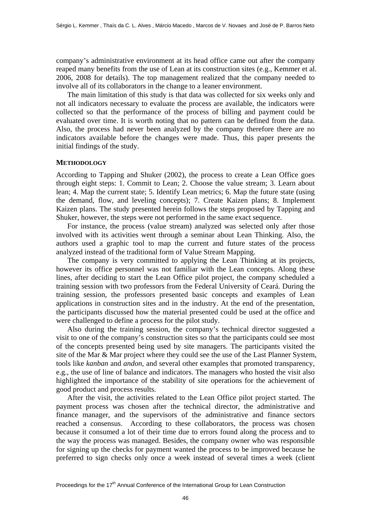company's administrative environment at its head office came out after the company reaped many benefits from the use of Lean at its construction sites (e.g., Kemmer et al. 2006, 2008 for details). The top management realized that the company needed to involve all of its collaborators in the change to a leaner environment.

The main limitation of this study is that data was collected for six weeks only and not all indicators necessary to evaluate the process are available, the indicators were collected so that the performance of the process of billing and payment could be evaluated over time. It is worth noting that no pattern can be defined from the data. Also, the process had never been analyzed by the company therefore there are no indicators available before the changes were made. Thus, this paper presents the initial findings of the study.

#### **METHODOLOGY**

According to Tapping and Shuker (2002), the process to create a Lean Office goes through eight steps: 1. Commit to Lean; 2. Choose the value stream; 3. Learn about lean; 4. Map the current state; 5. Identify Lean metrics; 6. Map the future state (using the demand, flow, and leveling concepts); 7. Create Kaizen plans; 8. Implement Kaizen plans. The study presented herein follows the steps proposed by Tapping and Shuker, however, the steps were not performed in the same exact sequence.

For instance, the process (value stream) analyzed was selected only after those involved with its activities went through a seminar about Lean Thinking. Also, the authors used a graphic tool to map the current and future states of the process analyzed instead of the traditional form of Value Stream Mapping.

The company is very committed to applying the Lean Thinking at its projects, however its office personnel was not familiar with the Lean concepts. Along these lines, after deciding to start the Lean Office pilot project, the company scheduled a training session with two professors from the Federal University of Ceará. During the training session, the professors presented basic concepts and examples of Lean applications in construction sites and in the industry. At the end of the presentation, the participants discussed how the material presented could be used at the office and were challenged to define a process for the pilot study.

Also during the training session, the company's technical director suggested a visit to one of the company's construction sites so that the participants could see most of the concepts presented being used by site managers. The participants visited the site of the Mar & Mar project where they could see the use of the Last Planner System, tools like *kanban* and *andon*, and several other examples that promoted transparency, e.g., the use of line of balance and indicators. The managers who hosted the visit also highlighted the importance of the stability of site operations for the achievement of good product and process results.

After the visit, the activities related to the Lean Office pilot project started. The payment process was chosen after the technical director, the administrative and finance manager, and the supervisors of the administrative and finance sectors reached a consensus. According to these collaborators, the process was chosen because it consumed a lot of their time due to errors found along the process and to the way the process was managed. Besides, the company owner who was responsible for signing up the checks for payment wanted the process to be improved because he preferred to sign checks only once a week instead of several times a week (client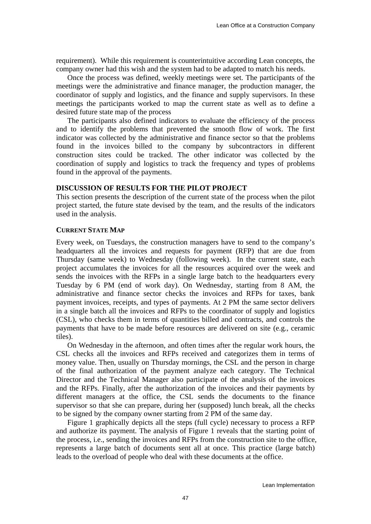requirement). While this requirement is counterintuitive according Lean concepts, the company owner had this wish and the system had to be adapted to match his needs.

Once the process was defined, weekly meetings were set. The participants of the meetings were the administrative and finance manager, the production manager, the coordinator of supply and logistics, and the finance and supply supervisors. In these meetings the participants worked to map the current state as well as to define a desired future state map of the process

The participants also defined indicators to evaluate the efficiency of the process and to identify the problems that prevented the smooth flow of work. The first indicator was collected by the administrative and finance sector so that the problems found in the invoices billed to the company by subcontractors in different construction sites could be tracked. The other indicator was collected by the coordination of supply and logistics to track the frequency and types of problems found in the approval of the payments.

## **DISCUSSION OF RESULTS FOR THE PILOT PROJECT**

This section presents the description of the current state of the process when the pilot project started, the future state devised by the team, and the results of the indicators used in the analysis.

# **CURRENT STATE MAP**

Every week, on Tuesdays, the construction managers have to send to the company's headquarters all the invoices and requests for payment (RFP) that are due from Thursday (same week) to Wednesday (following week). In the current state, each project accumulates the invoices for all the resources acquired over the week and sends the invoices with the RFPs in a single large batch to the headquarters every Tuesday by 6 PM (end of work day). On Wednesday, starting from 8 AM, the administrative and finance sector checks the invoices and RFPs for taxes, bank payment invoices, receipts, and types of payments. At 2 PM the same sector delivers in a single batch all the invoices and RFPs to the coordinator of supply and logistics (CSL), who checks them in terms of quantities billed and contracts, and controls the payments that have to be made before resources are delivered on site (e.g., ceramic tiles).

On Wednesday in the afternoon, and often times after the regular work hours, the CSL checks all the invoices and RFPs received and categorizes them in terms of money value. Then, usually on Thursday mornings, the CSL and the person in charge of the final authorization of the payment analyze each category. The Technical Director and the Technical Manager also participate of the analysis of the invoices and the RFPs. Finally, after the authorization of the invoices and their payments by different managers at the office, the CSL sends the documents to the finance supervisor so that she can prepare, during her (supposed) lunch break, all the checks to be signed by the company owner starting from 2 PM of the same day.

Figure 1 graphically depicts all the steps (full cycle) necessary to process a RFP and authorize its payment. The analysis of Figure 1 reveals that the starting point of the process, i.e., sending the invoices and RFPs from the construction site to the office, represents a large batch of documents sent all at once. This practice (large batch) leads to the overload of people who deal with these documents at the office.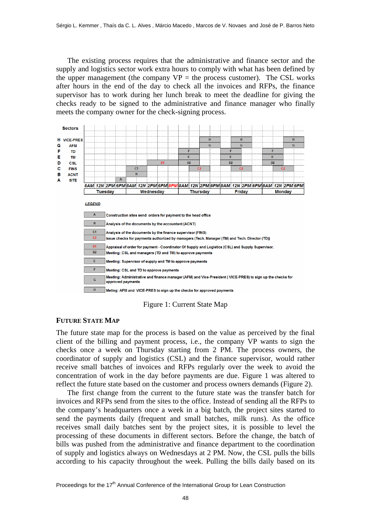The existing process requires that the administrative and finance sector and the supply and logistics sector work extra hours to comply with what has been defined by the upper management (the company  $VP =$  the process customer). The CSL works after hours in the end of the day to check all the invoices and RFPs, the finance supervisor has to work during her lunch break to meet the deadline for giving the checks ready to be signed to the administrative and finance manager who finally meets the company owner for the check-signing process.



Figure 1: Current State Map

#### **FUTURE STATE MAP**

The future state map for the process is based on the value as perceived by the final client of the billing and payment process, i.e., the company VP wants to sign the checks once a week on Thursday starting from 2 PM. The process owners, the coordinator of supply and logistics (CSL) and the finance supervisor, would rather receive small batches of invoices and RFPs regularly over the week to avoid the concentration of work in the day before payments are due. Figure 1 was altered to reflect the future state based on the customer and process owners demands (Figure 2).

The first change from the current to the future state was the transfer batch for invoices and RFPs send from the sites to the office. Instead of sending all the RFPs to the company's headquarters once a week in a big batch, the project sites started to send the payments daily (frequent and small batches, milk runs). As the office receives small daily batches sent by the project sites, it is possible to level the processing of these documents in different sectors. Before the change, the batch of bills was pushed from the administrative and finance department to the coordination of supply and logistics always on Wednesdays at 2 PM. Now, the CSL pulls the bills according to his capacity throughout the week. Pulling the bills daily based on its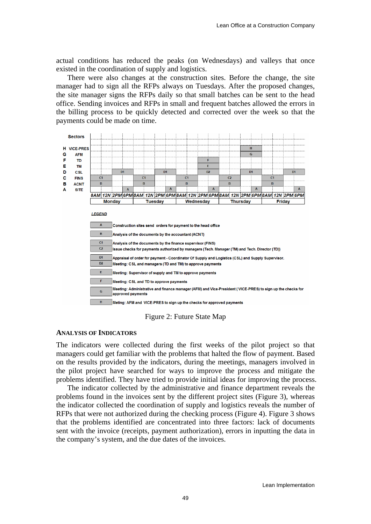actual conditions has reduced the peaks (on Wednesdays) and valleys that once existed in the coordination of supply and logistics.

There were also changes at the construction sites. Before the change, the site manager had to sign all the RFPs always on Tuesdays. After the proposed changes, the site manager signs the RFPs daily so that small batches can be sent to the head office. Sending invoices and RFPs in small and frequent batches allowed the errors in the billing process to be quickly detected and corrected over the week so that the payments could be made on time.



Figure 2: Future State Map

#### **ANALYSIS OF INDICATORS**

The indicators were collected during the first weeks of the pilot project so that managers could get familiar with the problems that halted the flow of payment. Based on the results provided by the indicators, during the meetings, managers involved in the pilot project have searched for ways to improve the process and mitigate the problems identified. They have tried to provide initial ideas for improving the process.

The indicator collected by the administrative and finance department reveals the problems found in the invoices sent by the different project sites (Figure 3), whereas the indicator collected the coordination of supply and logistics reveals the number of RFPs that were not authorized during the checking process (Figure 4). Figure 3 shows that the problems identified are concentrated into three factors: lack of documents sent with the invoice (receipts, payment authorization), errors in inputting the data in the company's system, and the due dates of the invoices.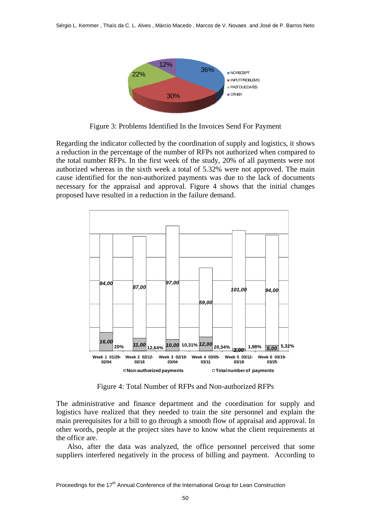

Figure 3: Problems Identified In the Invoices Send For Payment

Regarding the indicator collected by the coordination of supply and logistics, it shows a reduction in the percentage of the number of RFPs not authorized when compared to the total number RFPs. In the first week of the study, 20% of all payments were not authorized whereas in the sixth week a total of 5.32% were not approved. The main cause identified for the non-authorized payments was due to the lack of documents necessary for the appraisal and approval. Figure 4 shows that the initial changes proposed have resulted in a reduction in the failure demand.



Figure 4: Total Number of RFPs and Non-authorized RFPs

The administrative and finance department and the coordination for supply and logistics have realized that they needed to train the site personnel and explain the main prerequisites for a bill to go through a smooth flow of appraisal and approval. In other words, people at the project sites have to know what the client requirements at the office are.

Also, after the data was analyzed, the office personnel perceived that some suppliers interfered negatively in the process of billing and payment. According to

Proceedings for the 17<sup>th</sup> Annual Conference of the International Group for Lean Construction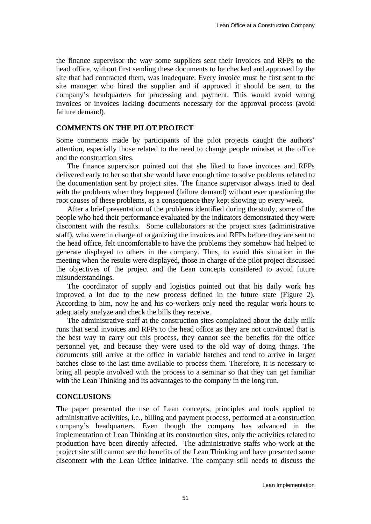the finance supervisor the way some suppliers sent their invoices and RFPs to the head office, without first sending these documents to be checked and approved by the site that had contracted them, was inadequate. Every invoice must be first sent to the site manager who hired the supplier and if approved it should be sent to the company's headquarters for processing and payment. This would avoid wrong invoices or invoices lacking documents necessary for the approval process (avoid failure demand).

## **COMMENTS ON THE PILOT PROJECT**

Some comments made by participants of the pilot projects caught the authors' attention, especially those related to the need to change people mindset at the office and the construction sites.

The finance supervisor pointed out that she liked to have invoices and RFPs delivered early to her so that she would have enough time to solve problems related to the documentation sent by project sites. The finance supervisor always tried to deal with the problems when they happened (failure demand) without ever questioning the root causes of these problems, as a consequence they kept showing up every week.

After a brief presentation of the problems identified during the study, some of the people who had their performance evaluated by the indicators demonstrated they were discontent with the results. Some collaborators at the project sites (administrative staff), who were in charge of organizing the invoices and RFPs before they are sent to the head office, felt uncomfortable to have the problems they somehow had helped to generate displayed to others in the company. Thus, to avoid this situation in the meeting when the results were displayed, those in charge of the pilot project discussed the objectives of the project and the Lean concepts considered to avoid future misunderstandings.

The coordinator of supply and logistics pointed out that his daily work has improved a lot due to the new process defined in the future state (Figure 2). According to him, now he and his co-workers only need the regular work hours to adequately analyze and check the bills they receive.

The administrative staff at the construction sites complained about the daily milk runs that send invoices and RFPs to the head office as they are not convinced that is the best way to carry out this process, they cannot see the benefits for the office personnel yet, and because they were used to the old way of doing things. The documents still arrive at the office in variable batches and tend to arrive in larger batches close to the last time available to process them. Therefore, it is necessary to bring all people involved with the process to a seminar so that they can get familiar with the Lean Thinking and its advantages to the company in the long run.

#### **CONCLUSIONS**

The paper presented the use of Lean concepts, principles and tools applied to administrative activities, i.e., billing and payment process, performed at a construction company's headquarters. Even though the company has advanced in the implementation of Lean Thinking at its construction sites, only the activities related to production have been directly affected. The administrative staffs who work at the project site still cannot see the benefits of the Lean Thinking and have presented some discontent with the Lean Office initiative. The company still needs to discuss the